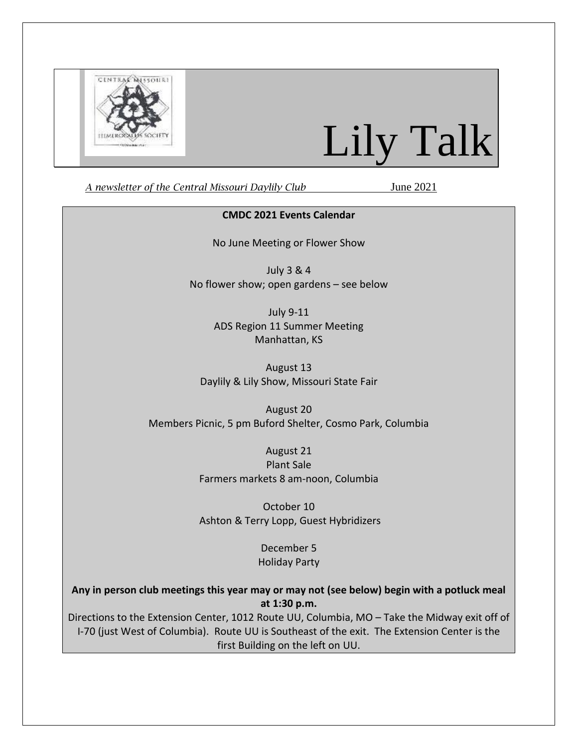

# Lily Talk

*A newsletter of the Central Missouri Daylily Club* June 2021

#### **CMDC 2021 Events Calendar**

No June Meeting or Flower Show

July 3 & 4 No flower show; open gardens – see below

> July 9-11 ADS Region 11 Summer Meeting Manhattan, KS

August 13 Daylily & Lily Show, Missouri State Fair

August 20 Members Picnic, 5 pm Buford Shelter, Cosmo Park, Columbia

> August 21 Plant Sale Farmers markets 8 am-noon, Columbia

October 10 Ashton & Terry Lopp, Guest Hybridizers

> December 5 Holiday Party

**Any in person club meetings this year may or may not (see below) begin with a potluck meal at 1:30 p.m.**

Directions to the Extension Center, 1012 Route UU, Columbia, MO – Take the Midway exit off of I-70 (just West of Columbia). Route UU is Southeast of the exit. The Extension Center is the first Building on the left on UU.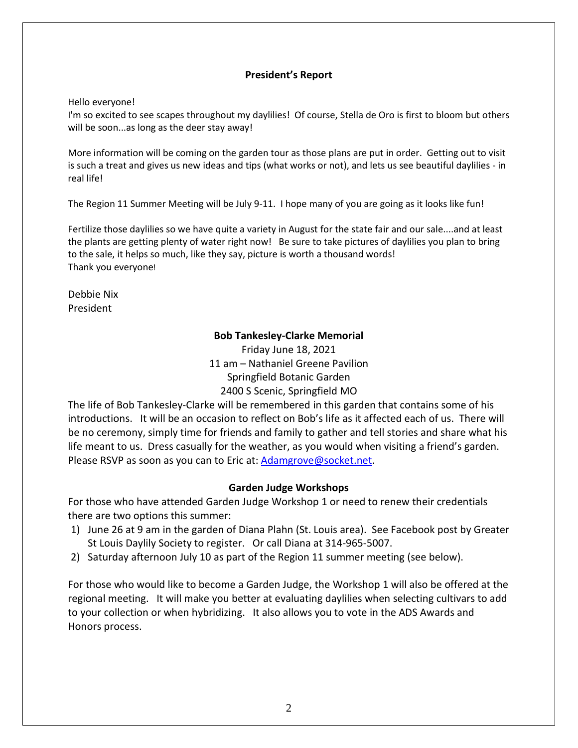## **President's Report**

Hello everyone!

I'm so excited to see scapes throughout my daylilies! Of course, Stella de Oro is first to bloom but others will be soon...as long as the deer stay away!

More information will be coming on the garden tour as those plans are put in order. Getting out to visit is such a treat and gives us new ideas and tips (what works or not), and lets us see beautiful daylilies - in real life!

The Region 11 Summer Meeting will be July 9-11. I hope many of you are going as it looks like fun!

Fertilize those daylilies so we have quite a variety in August for the state fair and our sale....and at least the plants are getting plenty of water right now! Be sure to take pictures of daylilies you plan to bring to the sale, it helps so much, like they say, picture is worth a thousand words! Thank you everyone!

Debbie Nix President

## **Bob Tankesley-Clarke Memorial**

Friday June 18, 2021 11 am – Nathaniel Greene Pavilion Springfield Botanic Garden 2400 S Scenic, Springfield MO

The life of Bob Tankesley-Clarke will be remembered in this garden that contains some of his introductions. It will be an occasion to reflect on Bob's life as it affected each of us. There will be no ceremony, simply time for friends and family to gather and tell stories and share what his life meant to us. Dress casually for the weather, as you would when visiting a friend's garden. Please RSVP as soon as you can to Eric at: [Adamgrove@socket.net.](mailto:Adamgrove@socket.net)

## **Garden Judge Workshops**

For those who have attended Garden Judge Workshop 1 or need to renew their credentials there are two options this summer:

- 1) June 26 at 9 am in the garden of Diana Plahn (St. Louis area). See Facebook post by Greater St Louis Daylily Society to register. Or call Diana at 314-965-5007.
- 2) Saturday afternoon July 10 as part of the Region 11 summer meeting (see below).

For those who would like to become a Garden Judge, the Workshop 1 will also be offered at the regional meeting. It will make you better at evaluating daylilies when selecting cultivars to add to your collection or when hybridizing. It also allows you to vote in the ADS Awards and Honors process.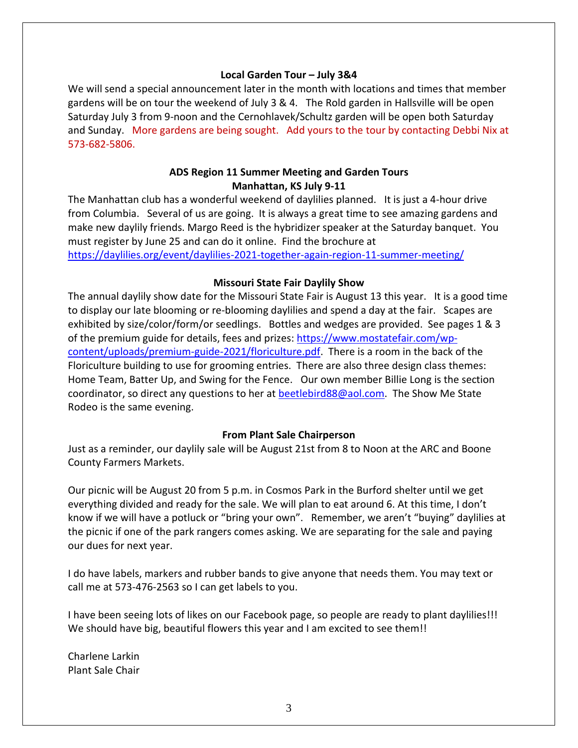#### **Local Garden Tour – July 3&4**

We will send a special announcement later in the month with locations and times that member gardens will be on tour the weekend of July 3 & 4. The Rold garden in Hallsville will be open Saturday July 3 from 9-noon and the Cernohlavek/Schultz garden will be open both Saturday and Sunday. More gardens are being sought. Add yours to the tour by contacting Debbi Nix at 573-682-5806.

# **ADS Region 11 Summer Meeting and Garden Tours Manhattan, KS July 9-11**

The Manhattan club has a wonderful weekend of daylilies planned. It is just a 4-hour drive from Columbia. Several of us are going. It is always a great time to see amazing gardens and make new daylily friends. Margo Reed is the hybridizer speaker at the Saturday banquet. You must register by June 25 and can do it online. Find the brochure at <https://daylilies.org/event/daylilies-2021-together-again-region-11-summer-meeting/>

## **Missouri State Fair Daylily Show**

The annual daylily show date for the Missouri State Fair is August 13 this year. It is a good time to display our late blooming or re-blooming daylilies and spend a day at the fair. Scapes are exhibited by size/color/form/or seedlings. Bottles and wedges are provided. See pages 1 & 3 of the premium guide for details, fees and prizes: [https://www.mostatefair.com/wp](https://www.mostatefair.com/wp-content/uploads/premium-guide-2021/floriculture.pdf)[content/uploads/premium-guide-2021/floriculture.pdf.](https://www.mostatefair.com/wp-content/uploads/premium-guide-2021/floriculture.pdf) There is a room in the back of the Floriculture building to use for grooming entries. There are also three design class themes: Home Team, Batter Up, and Swing for the Fence. Our own member Billie Long is the section coordinator, so direct any questions to her at [beetlebird88@aol.com.](mailto:beetlebird88@aol.com) The Show Me State Rodeo is the same evening.

## **From Plant Sale Chairperson**

Just as a reminder, our daylily sale will be August 21st from 8 to Noon at the ARC and Boone County Farmers Markets.

Our picnic will be August 20 from 5 p.m. in Cosmos Park in the Burford shelter until we get everything divided and ready for the sale. We will plan to eat around 6. At this time, I don't know if we will have a potluck or "bring your own". Remember, we aren't "buying" daylilies at the picnic if one of the park rangers comes asking. We are separating for the sale and paying our dues for next year.

I do have labels, markers and rubber bands to give anyone that needs them. You may text or call me at 573-476-2563 so I can get labels to you.

I have been seeing lots of likes on our Facebook page, so people are ready to plant daylilies!!! We should have big, beautiful flowers this year and I am excited to see them!!

Charlene Larkin Plant Sale Chair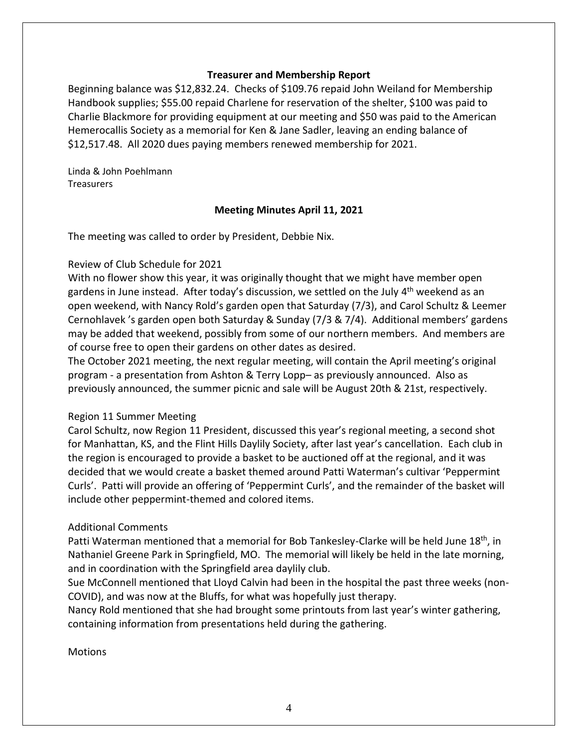#### **Treasurer and Membership Report**

Beginning balance was \$12,832.24. Checks of \$109.76 repaid John Weiland for Membership Handbook supplies; \$55.00 repaid Charlene for reservation of the shelter, \$100 was paid to Charlie Blackmore for providing equipment at our meeting and \$50 was paid to the American Hemerocallis Society as a memorial for Ken & Jane Sadler, leaving an ending balance of \$12,517.48. All 2020 dues paying members renewed membership for 2021.

Linda & John Poehlmann **Treasurers** 

## **Meeting Minutes April 11, 2021**

The meeting was called to order by President, Debbie Nix.

#### Review of Club Schedule for 2021

With no flower show this year, it was originally thought that we might have member open gardens in June instead. After today's discussion, we settled on the July 4<sup>th</sup> weekend as an open weekend, with Nancy Rold's garden open that Saturday (7/3), and Carol Schultz & Leemer Cernohlavek 's garden open both Saturday & Sunday (7/3 & 7/4). Additional members' gardens may be added that weekend, possibly from some of our northern members. And members are of course free to open their gardens on other dates as desired.

The October 2021 meeting, the next regular meeting, will contain the April meeting's original program - a presentation from Ashton & Terry Lopp– as previously announced. Also as previously announced, the summer picnic and sale will be August 20th & 21st, respectively.

#### Region 11 Summer Meeting

Carol Schultz, now Region 11 President, discussed this year's regional meeting, a second shot for Manhattan, KS, and the Flint Hills Daylily Society, after last year's cancellation. Each club in the region is encouraged to provide a basket to be auctioned off at the regional, and it was decided that we would create a basket themed around Patti Waterman's cultivar 'Peppermint Curls'. Patti will provide an offering of 'Peppermint Curls', and the remainder of the basket will include other peppermint-themed and colored items.

## Additional Comments

Patti Waterman mentioned that a memorial for Bob Tankesley-Clarke will be held June 18<sup>th</sup>, in Nathaniel Greene Park in Springfield, MO. The memorial will likely be held in the late morning, and in coordination with the Springfield area daylily club.

Sue McConnell mentioned that Lloyd Calvin had been in the hospital the past three weeks (non-COVID), and was now at the Bluffs, for what was hopefully just therapy.

Nancy Rold mentioned that she had brought some printouts from last year's winter gathering, containing information from presentations held during the gathering.

**Motions**